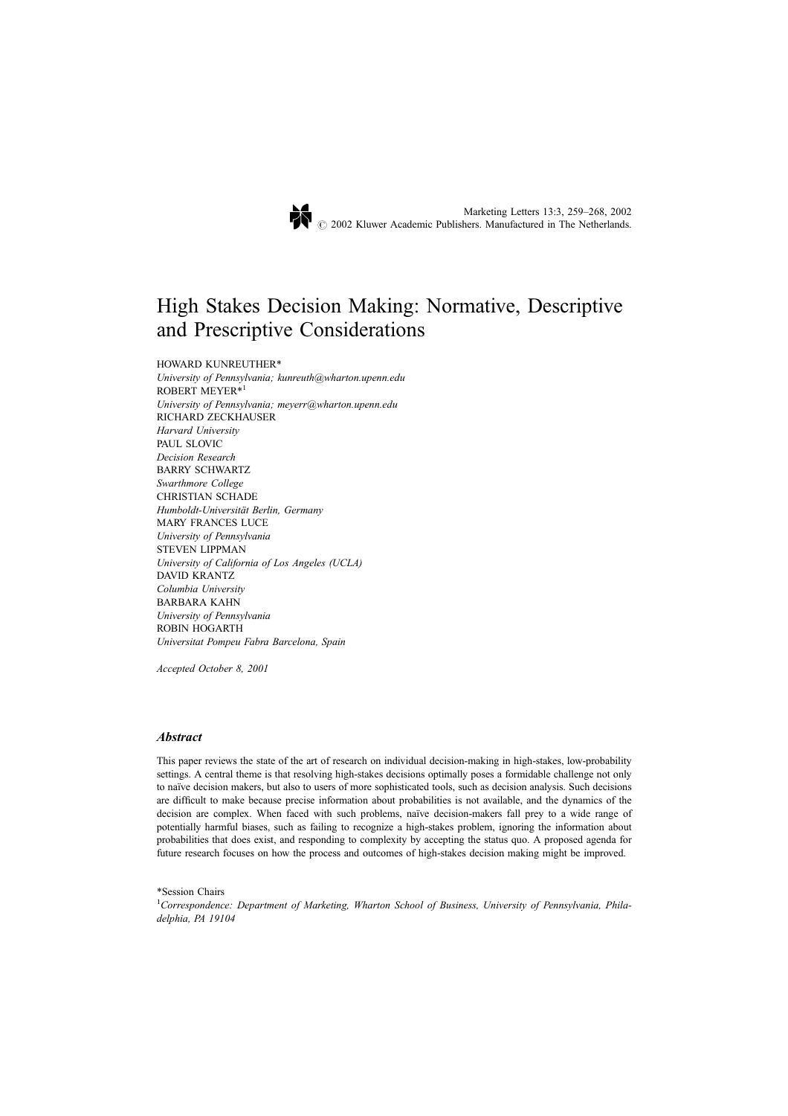

# High Stakes Decision Making: Normative, Descriptive and Prescriptive Considerations

HOWARD KUNREUTHER\*

University of Pennsylvania; kunreuth@wharton.upenn.edu ROBERT MEYER\*1 University of Pennsylvania; meyerr@wharton.upenn.edu RICHARD ZECKHAUSER Harvard University PAUL SLOVIC Decision Research BARRY SCHWARTZ Swarthmore College CHRISTIAN SCHADE Humboldt-Universität Berlin, Germany MARY FRANCES LUCE University of Pennsylvania STEVEN LIPPMAN University of California of Los Angeles (UCLA) DAVID KRANTZ Columbia University BARBARA KAHN University of Pennsylvania ROBIN HOGARTH Universitat Pompeu Fabra Barcelona, Spain

Accepted October 8, 2001

#### Abstract

This paper reviews the state of the art of research on individual decision-making in high-stakes, low-probability settings. A central theme is that resolving high-stakes decisions optimally poses a formidable challenge not only to naïve decision makers, but also to users of more sophisticated tools, such as decision analysis. Such decisions are difficult to make because precise information about probabilities is not available, and the dynamics of the decision are complex. When faced with such problems, naïve decision-makers fall prey to a wide range of potentially harmful biases, such as failing to recognize a high-stakes problem, ignoring the information about probabilities that does exist, and responding to complexity by accepting the status quo. A proposed agenda for future research focuses on how the process and outcomes of high-stakes decision making might be improved.

\*Session Chairs

<sup>1</sup>Correspondence: Department of Marketing, Wharton School of Business, University of Pennsylvania, Philadelphia, PA 19104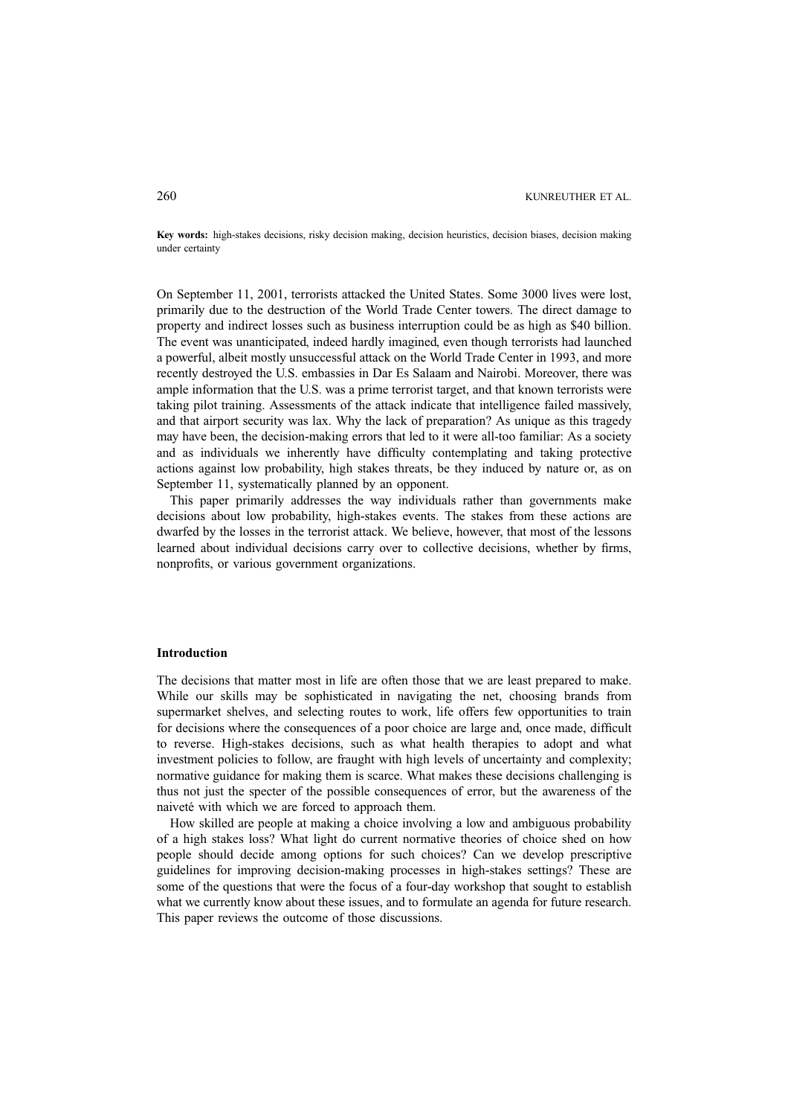Key words: high-stakes decisions, risky decision making, decision heuristics, decision biases, decision making under certainty

On September 11, 2001, terrorists attacked the United States. Some 3000 lives were lost, primarily due to the destruction of the World Trade Center towers. The direct damage to property and indirect losses such as business interruption could be as high as \$40 billion. The event was unanticipated, indeed hardly imagined, even though terrorists had launched a powerful, albeit mostly unsuccessful attack on the World Trade Center in 1993, and more recently destroyed the U.S. embassies in Dar Es Salaam and Nairobi. Moreover, there was ample information that the U.S. was a prime terrorist target, and that known terrorists were taking pilot training. Assessments of the attack indicate that intelligence failed massively, and that airport security was lax. Why the lack of preparation? As unique as this tragedy may have been, the decision-making errors that led to it were all-too familiar: As a society and as individuals we inherently have difficulty contemplating and taking protective actions against low probability, high stakes threats, be they induced by nature or, as on September 11, systematically planned by an opponent.

This paper primarily addresses the way individuals rather than governments make decisions about low probability, high-stakes events. The stakes from these actions are dwarfed by the losses in the terrorist attack. We believe, however, that most of the lessons learned about individual decisions carry over to collective decisions, whether by firms, nonprofits, or various government organizations.

### Introduction

The decisions that matter most in life are often those that we are least prepared to make. While our skills may be sophisticated in navigating the net, choosing brands from supermarket shelves, and selecting routes to work, life offers few opportunities to train for decisions where the consequences of a poor choice are large and, once made, difficult to reverse. High-stakes decisions, such as what health therapies to adopt and what investment policies to follow, are fraught with high levels of uncertainty and complexity; normative guidance for making them is scarce. What makes these decisions challenging is thus not just the specter of the possible consequences of error, but the awareness of the naiveté with which we are forced to approach them.

How skilled are people at making a choice involving a low and ambiguous probability of a high stakes loss? What light do current normative theories of choice shed on how people should decide among options for such choices? Can we develop prescriptive guidelines for improving decision-making processes in high-stakes settings? These are some of the questions that were the focus of a four-day workshop that sought to establish what we currently know about these issues, and to formulate an agenda for future research. This paper reviews the outcome of those discussions.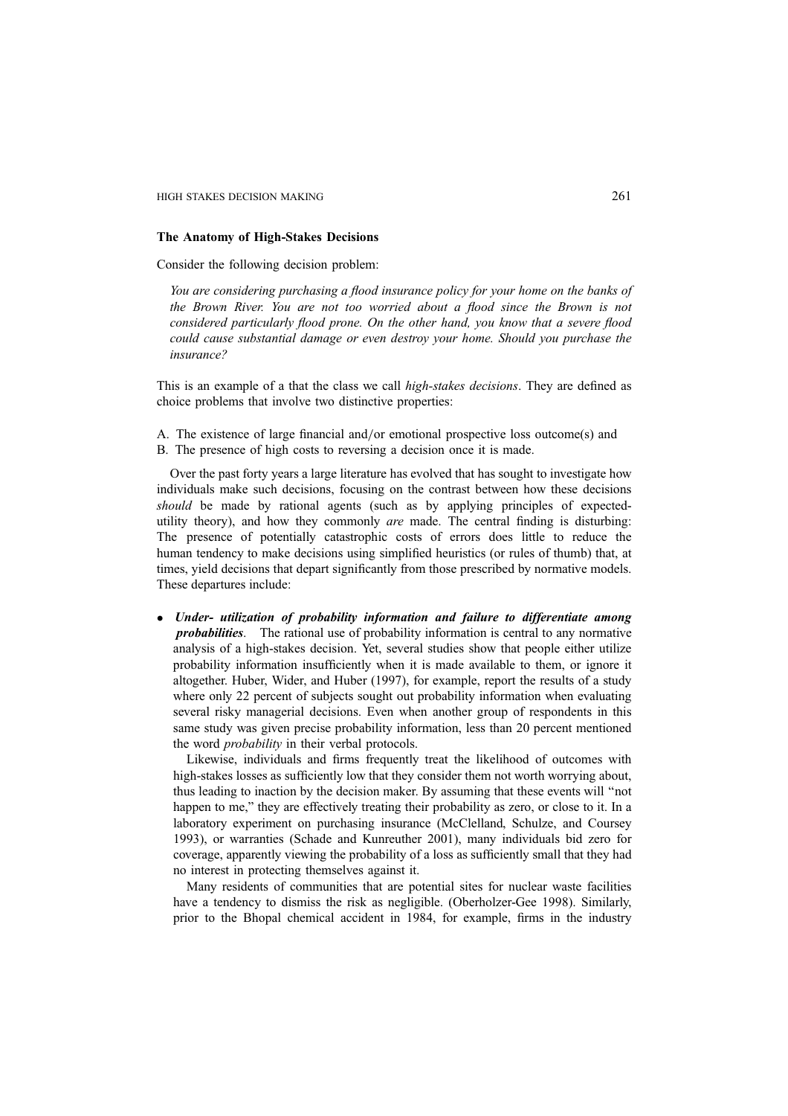#### The Anatomy of High-Stakes Decisions

Consider the following decision problem:

You are considering purchasing a flood insurance policy for your home on the banks of the Brown River. You are not too worried about a flood since the Brown is not considered particularly flood prone. On the other hand, you know that a severe flood could cause substantial damage or even destroy your home. Should you purchase the insurance?

This is an example of a that the class we call high-stakes decisions. They are defined as choice problems that involve two distinctive properties:

A. The existence of large financial and/or emotional prospective loss outcome(s) and B. The presence of high costs to reversing a decision once it is made.

Over the past forty years a large literature has evolved that has sought to investigate how individuals make such decisions, focusing on the contrast between how these decisions should be made by rational agents (such as by applying principles of expectedutility theory), and how they commonly are made. The central finding is disturbing: The presence of potentially catastrophic costs of errors does little to reduce the human tendency to make decisions using simplified heuristics (or rules of thumb) that, at times, yield decisions that depart significantly from those prescribed by normative models. These departures include:

 Under- utilization of probability information and failure to differentiate among probabilities. The rational use of probability information is central to any normative analysis of a high-stakes decision. Yet, several studies show that people either utilize probability information insufficiently when it is made available to them, or ignore it altogether. Huber, Wider, and Huber (1997), for example, report the results of a study where only 22 percent of subjects sought out probability information when evaluating several risky managerial decisions. Even when another group of respondents in this same study was given precise probability information, less than 20 percent mentioned the word *probability* in their verbal protocols.

Likewise, individuals and firms frequently treat the likelihood of outcomes with high-stakes losses as sufficiently low that they consider them not worth worrying about, thus leading to inaction by the decision maker. By assuming that these events will ''not happen to me," they are effectively treating their probability as zero, or close to it. In a laboratory experiment on purchasing insurance (McClelland, Schulze, and Coursey 1993), or warranties (Schade and Kunreuther 2001), many individuals bid zero for coverage, apparently viewing the probability of a loss as sufficiently small that they had no interest in protecting themselves against it.

Many residents of communities that are potential sites for nuclear waste facilities have a tendency to dismiss the risk as negligible. (Oberholzer-Gee 1998). Similarly, prior to the Bhopal chemical accident in 1984, for example, firms in the industry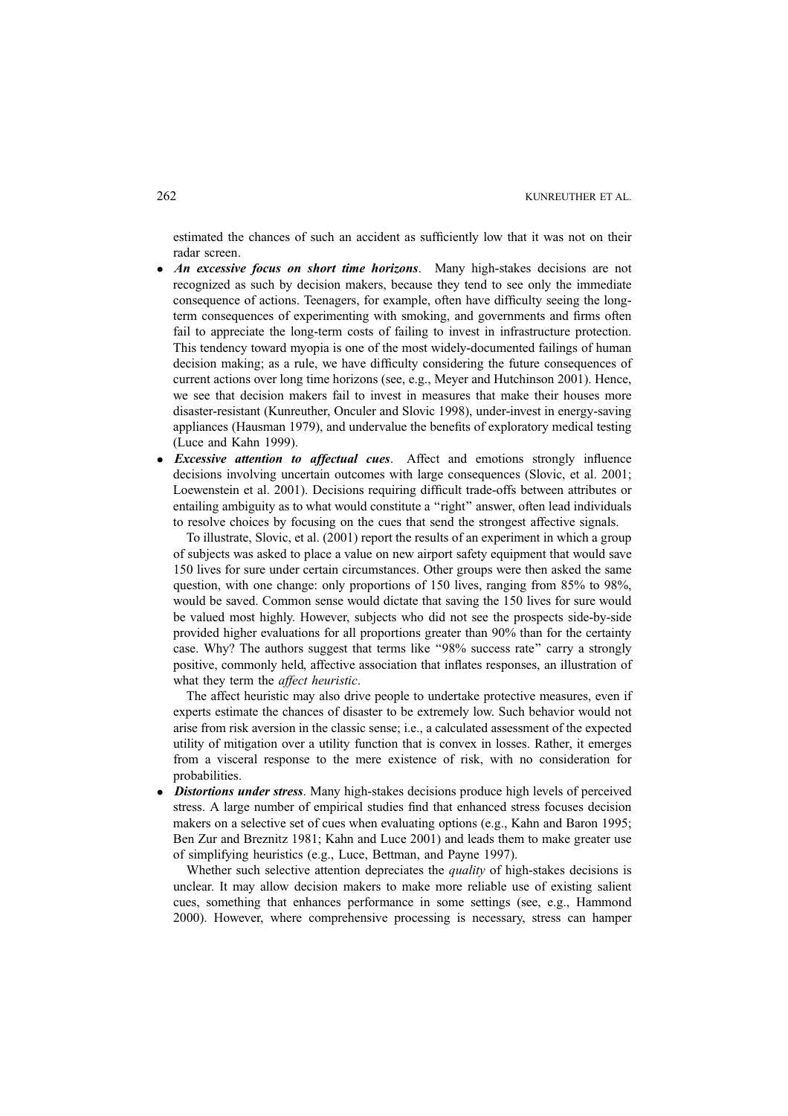estimated the chances of such an accident as sufficiently low that it was not on their radar screen.

- An excessive focus on short time horizons. Many high-stakes decisions are not recognized as such by decision makers, because they tend to see only the immediate consequence of actions. Teenagers, for example, often have difficulty seeing the longterm consequences of experimenting with smoking, and governments and firms often fail to appreciate the long-term costs of failing to invest in infrastructure protection. This tendency toward myopia is one of the most widely-documented failings of human decision making; as a rule, we have difficulty considering the future consequences of current actions over long time horizons (see, e.g., Meyer and Hutchinson 2001). Hence, we see that decision makers fail to invest in measures that make their houses more disaster-resistant (Kunreuther, Onculer and Slovic 1998), under-invest in energy-saving appliances (Hausman 1979), and undervalue the benefits of exploratory medical testing (Luce and Kahn 1999).
- Excessive attention to affectual cues. Affect and emotions strongly influence decisions involving uncertain outcomes with large consequences (Slovic, et al. 2001; Loewenstein et al. 2001). Decisions requiring difficult trade-offs between attributes or entailing ambiguity as to what would constitute a "right" answer, often lead individuals to resolve choices by focusing on the cues that send the strongest affective signals.

To illustrate, Slovic, et al. (2001) report the results of an experiment in which a group of subjects was asked to place a value on new airport safety equipment that would save 150 lives for sure under certain circumstances. Other groups were then asked the same question, with one change: only proportions of 150 lives, ranging from 85% to 98%, would be saved. Common sense would dictate that saving the 150 lives for sure would be valued most highly. However, subjects who did not see the prospects side-by-side provided higher evaluations for all proportions greater than 90% than for the certainty case. Why? The authors suggest that terms like "98% success rate" carry a strongly positive, commonly held, affective association that inflates responses, an illustration of what they term the *affect heuristic*.

The affect heuristic may also drive people to undertake protective measures, even if experts estimate the chances of disaster to be extremely low. Such behavior would not arise from risk aversion in the classic sense; i.e., a calculated assessment of the expected utility of mitigation over a utility function that is convex in losses. Rather, it emerges from a visceral response to the mere existence of risk, with no consideration for probabilities.

**Distortions under stress.** Many high-stakes decisions produce high levels of perceived stress. A large number of empirical studies find that enhanced stress focuses decision makers on a selective set of cues when evaluating options (e.g., Kahn and Baron 1995; Ben Zur and Breznitz 1981; Kahn and Luce 2001) and leads them to make greater use of simplifying heuristics (e.g., Luce, Bettman, and Payne 1997).

Whether such selective attention depreciates the *quality* of high-stakes decisions is unclear. It may allow decision makers to make more reliable use of existing salient cues, something that enhances performance in some settings (see, e.g., Hammond 2000). However, where comprehensive processing is necessary, stress can hamper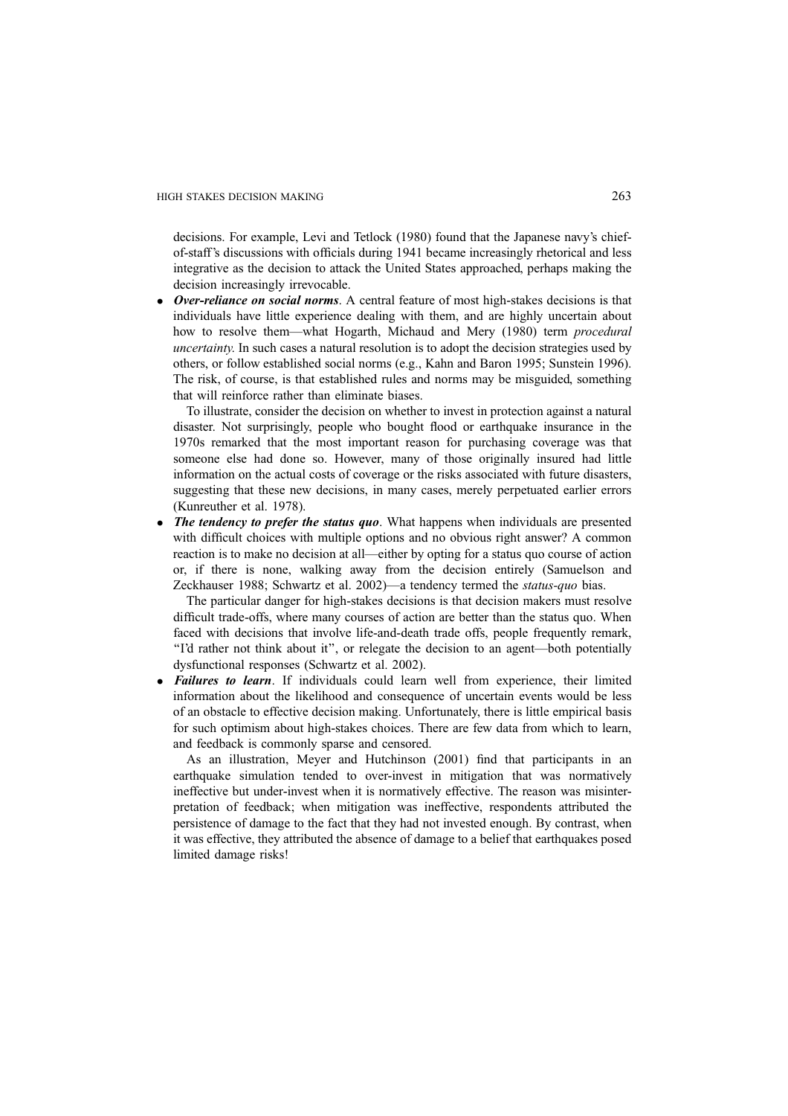decisions. For example, Levi and Tetlock (1980) found that the Japanese navy's chiefof-staff's discussions with officials during 1941 became increasingly rhetorical and less integrative as the decision to attack the United States approached, perhaps making the decision increasingly irrevocable.

Over-reliance on social norms. A central feature of most high-stakes decisions is that individuals have little experience dealing with them, and are highly uncertain about how to resolve them—what Hogarth, Michaud and Mery (1980) term *procedural* uncertainty. In such cases a natural resolution is to adopt the decision strategies used by others, or follow established social norms (e.g., Kahn and Baron 1995; Sunstein 1996). The risk, of course, is that established rules and norms may be misguided, something that will reinforce rather than eliminate biases.

To illustrate, consider the decision on whether to invest in protection against a natural disaster. Not surprisingly, people who bought flood or earthquake insurance in the 1970s remarked that the most important reason for purchasing coverage was that someone else had done so. However, many of those originally insured had little information on the actual costs of coverage or the risks associated with future disasters, suggesting that these new decisions, in many cases, merely perpetuated earlier errors (Kunreuther et al. 1978).

The tendency to prefer the status quo. What happens when individuals are presented with difficult choices with multiple options and no obvious right answer? A common reaction is to make no decision at all—either by opting for a status quo course of action or, if there is none, walking away from the decision entirely (Samuelson and Zeckhauser 1988; Schwartz et al. 2002)—a tendency termed the status-quo bias.

The particular danger for high-stakes decisions is that decision makers must resolve difficult trade-offs, where many courses of action are better than the status quo. When faced with decisions that involve life-and-death trade offs, people frequently remark, ''I'd rather not think about it'', or relegate the decision to an agent—both potentially dysfunctional responses (Schwartz et al. 2002).

Failures to learn. If individuals could learn well from experience, their limited information about the likelihood and consequence of uncertain events would be less of an obstacle to effective decision making. Unfortunately, there is little empirical basis for such optimism about high-stakes choices. There are few data from which to learn, and feedback is commonly sparse and censored.

As an illustration, Meyer and Hutchinson (2001) find that participants in an earthquake simulation tended to over-invest in mitigation that was normatively ineffective but under-invest when it is normatively effective. The reason was misinterpretation of feedback; when mitigation was ineffective, respondents attributed the persistence of damage to the fact that they had not invested enough. By contrast, when it was effective, they attributed the absence of damage to a belief that earthquakes posed limited damage risks!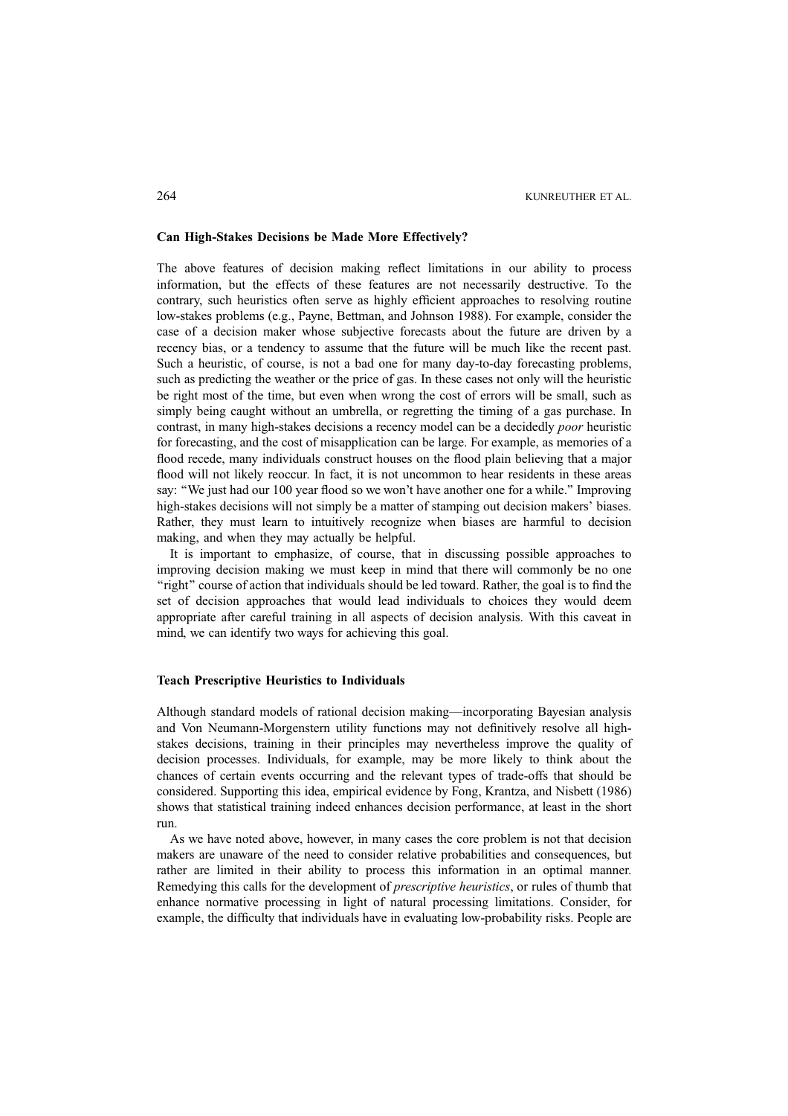#### Can High-Stakes Decisions be Made More Effectively?

The above features of decision making reflect limitations in our ability to process information, but the effects of these features are not necessarily destructive. To the contrary, such heuristics often serve as highly efficient approaches to resolving routine low-stakes problems (e.g., Payne, Bettman, and Johnson 1988). For example, consider the case of a decision maker whose subjective forecasts about the future are driven by a recency bias, or a tendency to assume that the future will be much like the recent past. Such a heuristic, of course, is not a bad one for many day-to-day forecasting problems, such as predicting the weather or the price of gas. In these cases not only will the heuristic be right most of the time, but even when wrong the cost of errors will be small, such as simply being caught without an umbrella, or regretting the timing of a gas purchase. In contrast, in many high-stakes decisions a recency model can be a decidedly poor heuristic for forecasting, and the cost of misapplication can be large. For example, as memories of a flood recede, many individuals construct houses on the flood plain believing that a major flood will not likely reoccur. In fact, it is not uncommon to hear residents in these areas say: ''We just had our 100 year flood so we won't have another one for a while.'' Improving high-stakes decisions will not simply be a matter of stamping out decision makers' biases. Rather, they must learn to intuitively recognize when biases are harmful to decision making, and when they may actually be helpful.

It is important to emphasize, of course, that in discussing possible approaches to improving decision making we must keep in mind that there will commonly be no one "right" course of action that individuals should be led toward. Rather, the goal is to find the set of decision approaches that would lead individuals to choices they would deem appropriate after careful training in all aspects of decision analysis. With this caveat in mind, we can identify two ways for achieving this goal.

### Teach Prescriptive Heuristics to Individuals

Although standard models of rational decision making—incorporating Bayesian analysis and Von Neumann-Morgenstern utility functions may not definitively resolve all highstakes decisions, training in their principles may nevertheless improve the quality of decision processes. Individuals, for example, may be more likely to think about the chances of certain events occurring and the relevant types of trade-offs that should be considered. Supporting this idea, empirical evidence by Fong, Krantza, and Nisbett (1986) shows that statistical training indeed enhances decision performance, at least in the short run.

As we have noted above, however, in many cases the core problem is not that decision makers are unaware of the need to consider relative probabilities and consequences, but rather are limited in their ability to process this information in an optimal manner. Remedying this calls for the development of prescriptive heuristics, or rules of thumb that enhance normative processing in light of natural processing limitations. Consider, for example, the difficulty that individuals have in evaluating low-probability risks. People are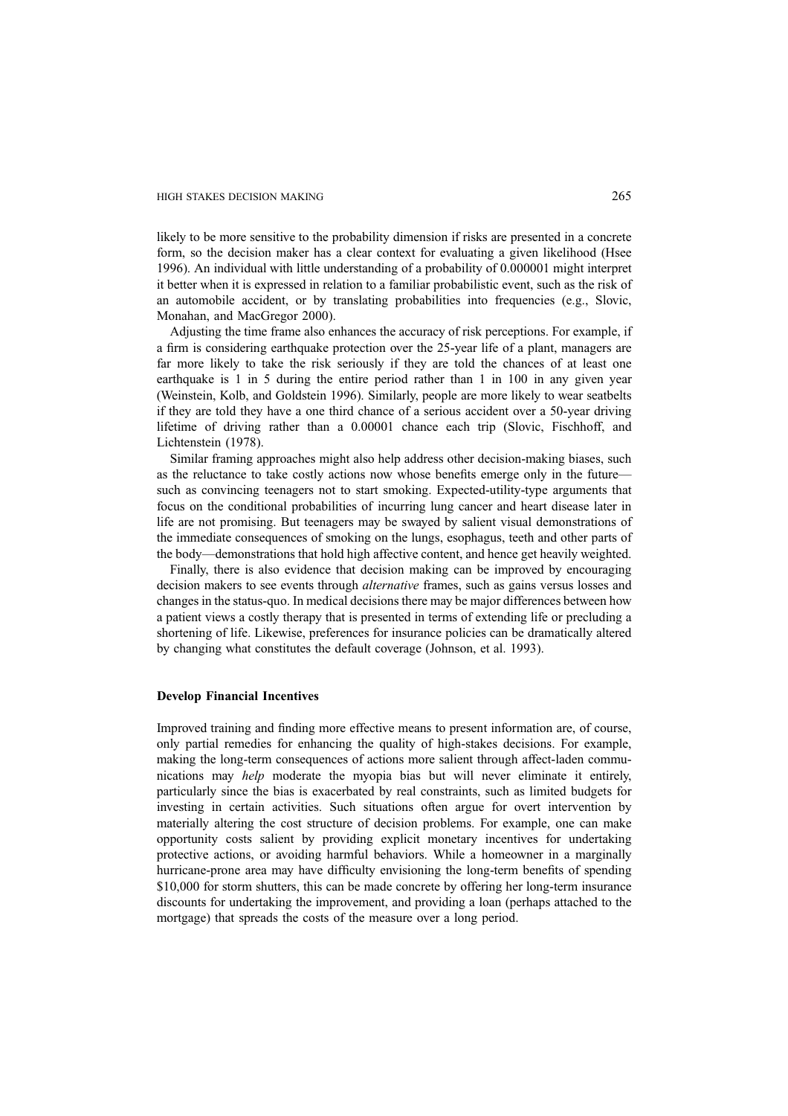# HIGH STAKES DECISION MAKING 265

likely to be more sensitive to the probability dimension if risks are presented in a concrete form, so the decision maker has a clear context for evaluating a given likelihood (Hsee 1996). An individual with little understanding of a probability of 0.000001 might interpret it better when it is expressed in relation to a familiar probabilistic event, such as the risk of an automobile accident, or by translating probabilities into frequencies (e.g., Slovic, Monahan, and MacGregor 2000).

Adjusting the time frame also enhances the accuracy of risk perceptions. For example, if a firm is considering earthquake protection over the 25-year life of a plant, managers are far more likely to take the risk seriously if they are told the chances of at least one earthquake is 1 in 5 during the entire period rather than 1 in 100 in any given year (Weinstein, Kolb, and Goldstein 1996). Similarly, people are more likely to wear seatbelts if they are told they have a one third chance of a serious accident over a 50-year driving lifetime of driving rather than a 0.00001 chance each trip (Slovic, Fischhoff, and Lichtenstein (1978).

Similar framing approaches might also help address other decision-making biases, such as the reluctance to take costly actions now whose benefits emerge only in the future such as convincing teenagers not to start smoking. Expected-utility-type arguments that focus on the conditional probabilities of incurring lung cancer and heart disease later in life are not promising. But teenagers may be swayed by salient visual demonstrations of the immediate consequences of smoking on the lungs, esophagus, teeth and other parts of the body—demonstrations that hold high affective content, and hence get heavily weighted.

Finally, there is also evidence that decision making can be improved by encouraging decision makers to see events through alternative frames, such as gains versus losses and changes in the status-quo. In medical decisions there may be major differences between how a patient views a costly therapy that is presented in terms of extending life or precluding a shortening of life. Likewise, preferences for insurance policies can be dramatically altered by changing what constitutes the default coverage (Johnson, et al. 1993).

### Develop Financial Incentives

Improved training and finding more effective means to present information are, of course, only partial remedies for enhancing the quality of high-stakes decisions. For example, making the long-term consequences of actions more salient through affect-laden communications may help moderate the myopia bias but will never eliminate it entirely, particularly since the bias is exacerbated by real constraints, such as limited budgets for investing in certain activities. Such situations often argue for overt intervention by materially altering the cost structure of decision problems. For example, one can make opportunity costs salient by providing explicit monetary incentives for undertaking protective actions, or avoiding harmful behaviors. While a homeowner in a marginally hurricane-prone area may have difficulty envisioning the long-term benefits of spending \$10,000 for storm shutters, this can be made concrete by offering her long-term insurance discounts for undertaking the improvement, and providing a loan (perhaps attached to the mortgage) that spreads the costs of the measure over a long period.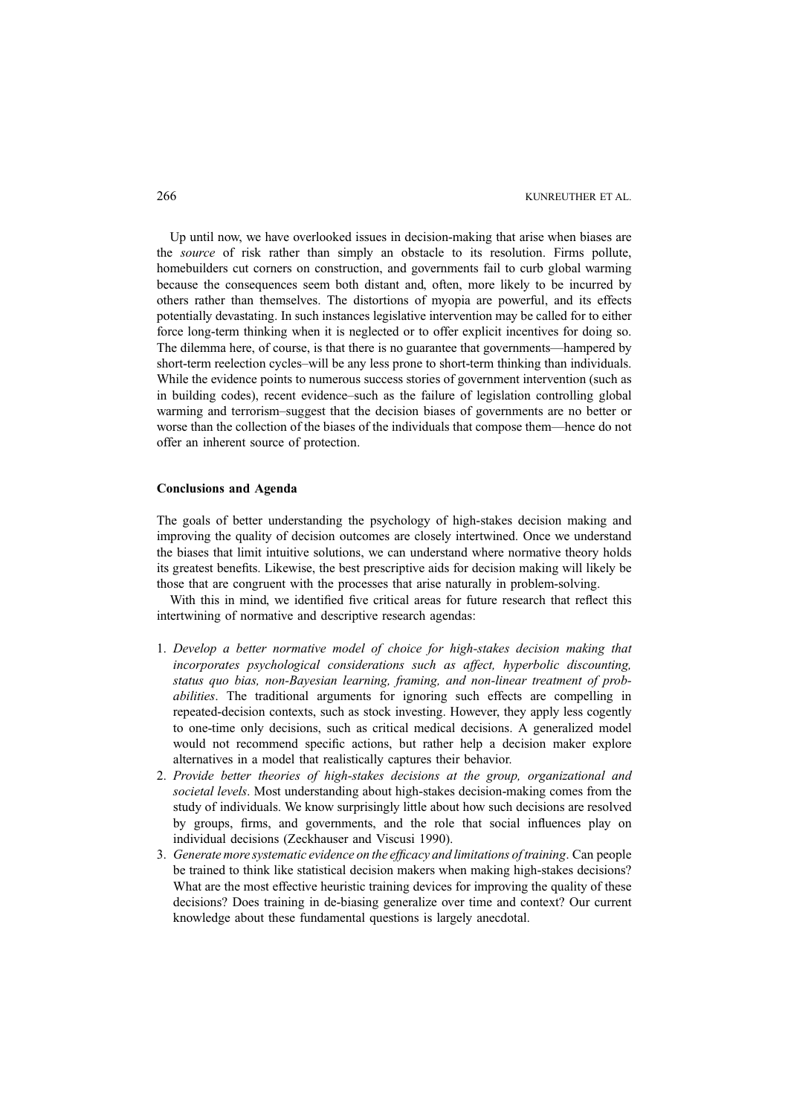Up until now, we have overlooked issues in decision-making that arise when biases are the source of risk rather than simply an obstacle to its resolution. Firms pollute, homebuilders cut corners on construction, and governments fail to curb global warming because the consequences seem both distant and, often, more likely to be incurred by others rather than themselves. The distortions of myopia are powerful, and its effects potentially devastating. In such instances legislative intervention may be called for to either force long-term thinking when it is neglected or to offer explicit incentives for doing so. The dilemma here, of course, is that there is no guarantee that governments—hampered by short-term reelection cycles–will be any less prone to short-term thinking than individuals. While the evidence points to numerous success stories of government intervention (such as in building codes), recent evidence–such as the failure of legislation controlling global warming and terrorism–suggest that the decision biases of governments are no better or worse than the collection of the biases of the individuals that compose them—hence do not offer an inherent source of protection.

#### Conclusions and Agenda

The goals of better understanding the psychology of high-stakes decision making and improving the quality of decision outcomes are closely intertwined. Once we understand the biases that limit intuitive solutions, we can understand where normative theory holds its greatest benefits. Likewise, the best prescriptive aids for decision making will likely be those that are congruent with the processes that arise naturally in problem-solving.

With this in mind, we identified five critical areas for future research that reflect this intertwining of normative and descriptive research agendas:

- 1. Develop a better normative model of choice for high-stakes decision making that incorporates psychological considerations such as affect, hyperbolic discounting, status quo bias, non-Bayesian learning, framing, and non-linear treatment of probabilities. The traditional arguments for ignoring such effects are compelling in repeated-decision contexts, such as stock investing. However, they apply less cogently to one-time only decisions, such as critical medical decisions. A generalized model would not recommend specific actions, but rather help a decision maker explore alternatives in a model that realistically captures their behavior.
- 2. Provide better theories of high-stakes decisions at the group, organizational and societal levels. Most understanding about high-stakes decision-making comes from the study of individuals. We know surprisingly little about how such decisions are resolved by groups, firms, and governments, and the role that social influences play on individual decisions (Zeckhauser and Viscusi 1990).
- 3. Generate more systematic evidence on the efficacy and limitations of training. Can people be trained to think like statistical decision makers when making high-stakes decisions? What are the most effective heuristic training devices for improving the quality of these decisions? Does training in de-biasing generalize over time and context? Our current knowledge about these fundamental questions is largely anecdotal.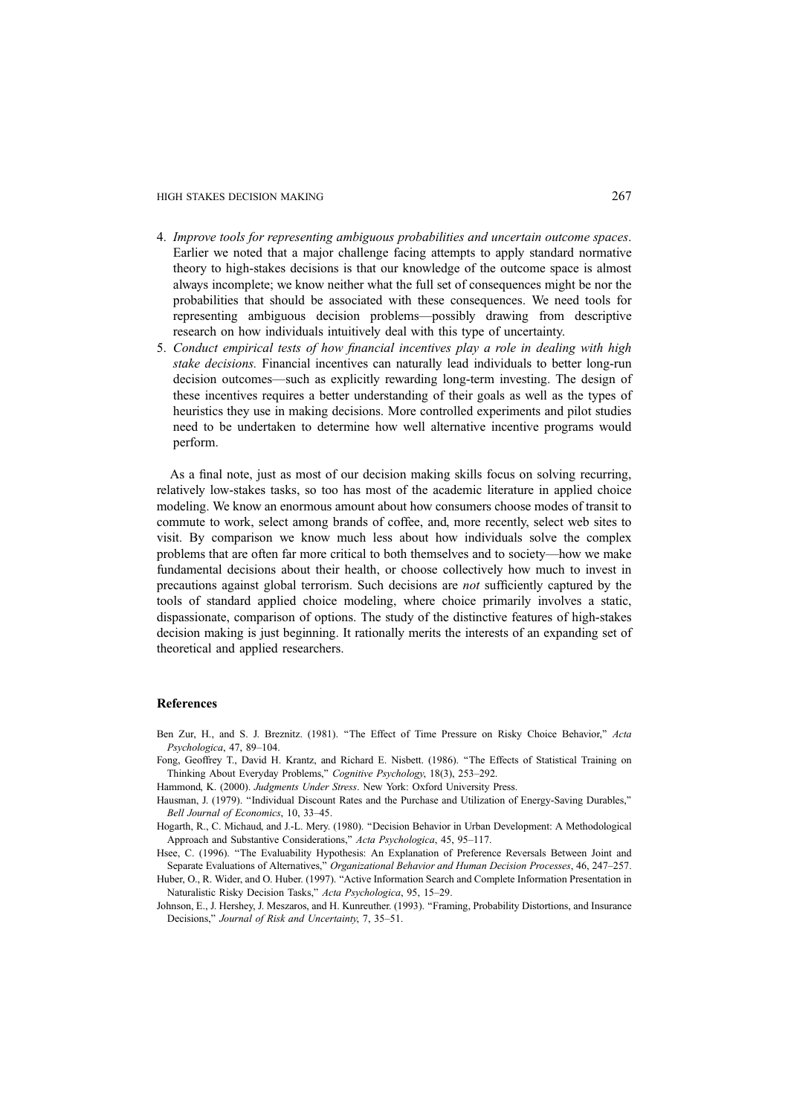### HIGH STAKES DECISION MAKING 267

- 4. Improve tools for representing ambiguous probabilities and uncertain outcome spaces. Earlier we noted that a major challenge facing attempts to apply standard normative theory to high-stakes decisions is that our knowledge of the outcome space is almost always incomplete; we know neither what the full set of consequences might be nor the probabilities that should be associated with these consequences. We need tools for representing ambiguous decision problems—possibly drawing from descriptive research on how individuals intuitively deal with this type of uncertainty.
- 5. Conduct empirical tests of how financial incentives play a role in dealing with high stake decisions. Financial incentives can naturally lead individuals to better long-run decision outcomes—such as explicitly rewarding long-term investing. The design of these incentives requires a better understanding of their goals as well as the types of heuristics they use in making decisions. More controlled experiments and pilot studies need to be undertaken to determine how well alternative incentive programs would perform.

As a final note, just as most of our decision making skills focus on solving recurring, relatively low-stakes tasks, so too has most of the academic literature in applied choice modeling. We know an enormous amount about how consumers choose modes of transit to commute to work, select among brands of coffee, and, more recently, select web sites to visit. By comparison we know much less about how individuals solve the complex problems that are often far more critical to both themselves and to society—how we make fundamental decisions about their health, or choose collectively how much to invest in precautions against global terrorism. Such decisions are not sufficiently captured by the tools of standard applied choice modeling, where choice primarily involves a static, dispassionate, comparison of options. The study of the distinctive features of high-stakes decision making is just beginning. It rationally merits the interests of an expanding set of theoretical and applied researchers.

# References

- Ben Zur, H., and S. J. Breznitz. (1981). ''The Effect of Time Pressure on Risky Choice Behavior,'' Acta Psychologica, 47, 89–104.
- Fong, Geoffrey T., David H. Krantz, and Richard E. Nisbett. (1986). ''The Effects of Statistical Training on Thinking About Everyday Problems,'' Cognitive Psychology, 18(3), 253–292.
- Hammond, K. (2000). Judgments Under Stress. New York: Oxford University Press.
- Hausman, J. (1979). ''Individual Discount Rates and the Purchase and Utilization of Energy-Saving Durables,'' Bell Journal of Economics, 10, 33–45.
- Hogarth, R., C. Michaud, and J.-L. Mery. (1980). ''Decision Behavior in Urban Development: A Methodological Approach and Substantive Considerations," Acta Psychologica, 45, 95-117.
- Hsee, C. (1996). ''The Evaluability Hypothesis: An Explanation of Preference Reversals Between Joint and Separate Evaluations of Alternatives,'' Organizational Behavior and Human Decision Processes, 46, 247–257.
- Huber, O., R. Wider, and O. Huber. (1997). ''Active Information Search and Complete Information Presentation in Naturalistic Risky Decision Tasks,'' Acta Psychologica, 95, 15–29.
- Johnson, E., J. Hershey, J. Meszaros, and H. Kunreuther. (1993). ''Framing, Probability Distortions, and Insurance Decisions," Journal of Risk and Uncertainty, 7, 35-51.